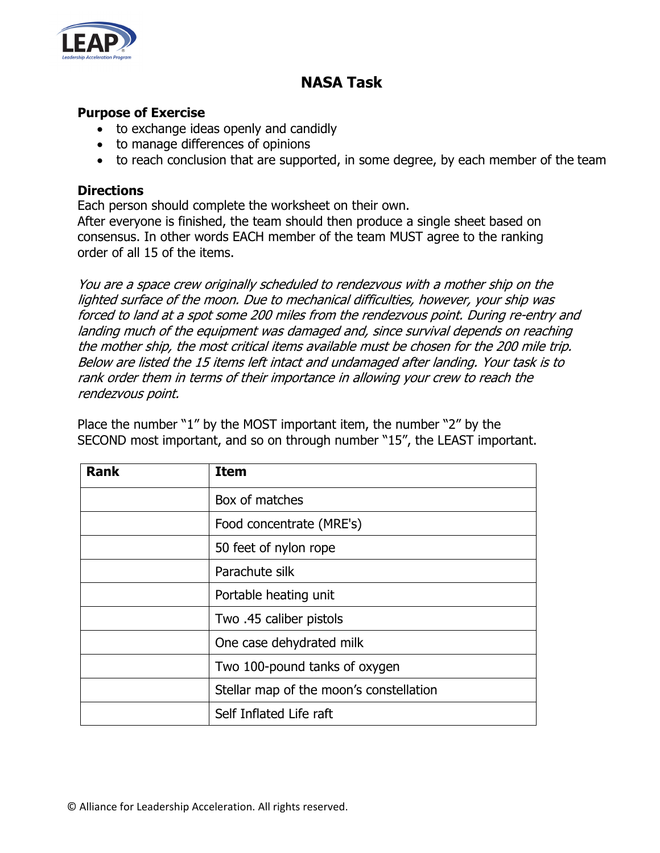

## **NASA Task**

## **Purpose of Exercise**

- to exchange ideas openly and candidly
- to manage differences of opinions
- to reach conclusion that are supported, in some degree, by each member of the team

## **Directions**

Each person should complete the worksheet on their own.

After everyone is finished, the team should then produce a single sheet based on consensus. In other words EACH member of the team MUST agree to the ranking order of all 15 of the items.

You are a space crew originally scheduled to rendezvous with a mother ship on the lighted surface of the moon. Due to mechanical difficulties, however, your ship was forced to land at a spot some 200 miles from the rendezvous point. During re-entry and landing much of the equipment was damaged and, since survival depends on reaching the mother ship, the most critical items available must be chosen for the 200 mile trip. Below are listed the 15 items left intact and undamaged after landing. Your task is to rank order them in terms of their importance in allowing your crew to reach the rendezvous point.

Place the number "1" by the MOST important item, the number "2" by the SECOND most important, and so on through number "15", the LEAST important.

| <b>Rank</b> | <b>Item</b>                             |  |
|-------------|-----------------------------------------|--|
|             | Box of matches                          |  |
|             | Food concentrate (MRE's)                |  |
|             | 50 feet of nylon rope                   |  |
|             | Parachute silk                          |  |
|             | Portable heating unit                   |  |
|             | Two .45 caliber pistols                 |  |
|             | One case dehydrated milk                |  |
|             | Two 100-pound tanks of oxygen           |  |
|             | Stellar map of the moon's constellation |  |
|             | Self Inflated Life raft                 |  |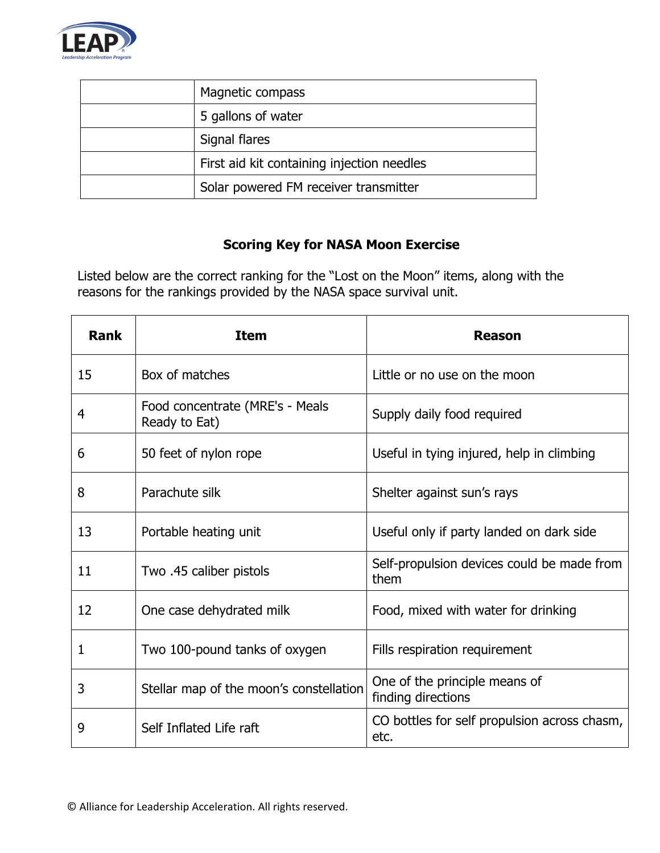

| Magnetic compass                           |
|--------------------------------------------|
| 5 gallons of water                         |
| Signal flares                              |
| First aid kit containing injection needles |
| Solar powered FM receiver transmitter      |

## **Scoring Key for NASA Moon Exercise**

Listed below are the correct ranking for the "Lost on the Moon" items, along with the reasons for the rankings provided by the NASA space survival unit.

| <b>Rank</b> | <b>Item</b>                                      | Reason                                               |
|-------------|--------------------------------------------------|------------------------------------------------------|
| 15          | Box of matches                                   | Little or no use on the moon                         |
| 4           | Food concentrate (MRE's - Meals<br>Ready to Eat) | Supply daily food required                           |
| 6           | 50 feet of nylon rope                            | Useful in tying injured, help in climbing            |
| 8           | Parachute silk                                   | Shelter against sun's rays                           |
| 13          | Portable heating unit                            | Useful only if party landed on dark side             |
| 11          | Two .45 caliber pistols                          | Self-propulsion devices could be made from<br>them   |
| 12          | One case dehydrated milk                         | Food, mixed with water for drinking                  |
| 1           | Two 100-pound tanks of oxygen                    | Fills respiration requirement                        |
| 3           | Stellar map of the moon's constellation          | One of the principle means of<br>finding directions  |
| 9           | Self Inflated Life raft                          | CO bottles for self propulsion across chasm,<br>etc. |